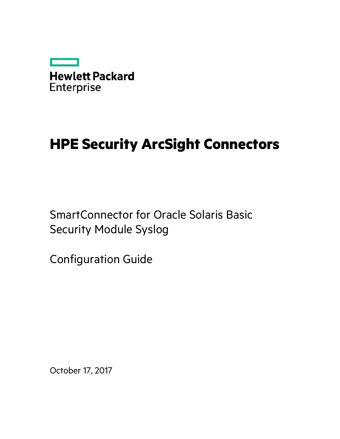

# **HPE Security ArcSight Connectors**

SmartConnector for Oracle Solaris Basic Security Module Syslog

Configuration Guide

October 17, 2017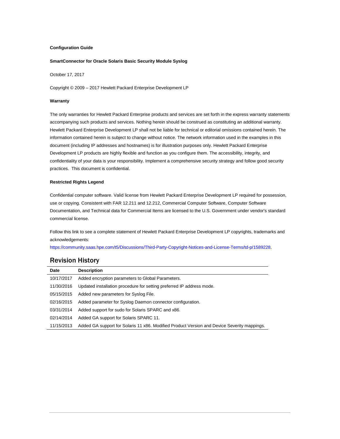#### **Configuration Guide**

#### **SmartConnector for Oracle Solaris Basic Security Module Syslog**

October 17, 2017

Copyright © 2009 – 2017 Hewlett Packard Enterprise Development LP

#### **Warranty**

The only warranties for Hewlett Packard Enterprise products and services are set forth in the express warranty statements accompanying such products and services. Nothing herein should be construed as constituting an additional warranty. Hewlett Packard Enterprise Development LP shall not be liable for technical or editorial omissions contained herein. The information contained herein is subject to change without notice. The network information used in the examples in this document (including IP addresses and hostnames) is for illustration purposes only. Hewlett Packard Enterprise Development LP products are highly flexible and function as you configure them. The accessibility, integrity, and confidentiality of your data is your responsibility. Implement a comprehensive security strategy and follow good security practices. This document is confidential.

#### **Restricted Rights Legend**

Confidential computer software. Valid license from Hewlett Packard Enterprise Development LP required for possession, use or copying. Consistent with FAR 12.211 and 12.212, Commercial Computer Software, Computer Software Documentation, and Technical data for Commercial Items are licensed to the U.S. Government under vendor's standard commercial license.

Follow this link to see a complete statement of Hewlett Packard Enterprise Development LP copyrights, trademarks and acknowledgements:

[https://community.saas.hpe.com/t5/Discussions/Third-Party-Copyright-Notices-and-License-Terms/td-p/1589228.](https://community.saas.hpe.com/t5/Discussions/Third-Party-Copyright-Notices-and-License-Terms/td-p/1589228)

#### Revision History

| Date       | <b>Description</b>                                                                          |
|------------|---------------------------------------------------------------------------------------------|
| 10/17/2017 | Added encryption parameters to Global Parameters.                                           |
| 11/30/2016 | Updated installation procedure for setting preferred IP address mode.                       |
| 05/15/2015 | Added new parameters for Syslog File.                                                       |
| 02/16/2015 | Added parameter for Syslog Daemon connector configuration.                                  |
| 03/31/2014 | Added support for sudo for Solaris SPARC and x86.                                           |
| 02/14/2014 | Added GA support for Solaris SPARC 11.                                                      |
| 11/15/2013 | Added GA support for Solaris 11 x86. Modified Product Version and Device Severity mappings. |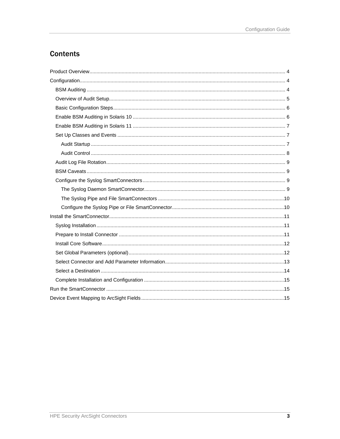## **Contents**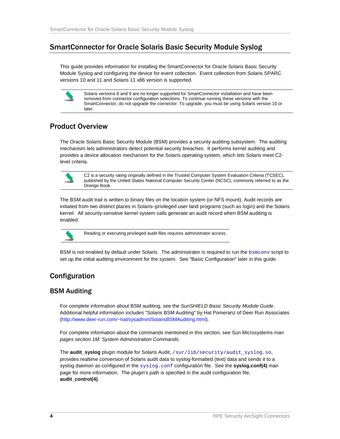## SmartConnector for Oracle Solaris Basic Security Module Syslog

This guide provides information for installing the SmartConnector for Oracle Solaris Basic Security Module Syslog and configuring the device for event collection. Event collection from Solaris SPARC versions 10 and 11 and Solaris 11 x86 version is supported.



Solaris versions 8 and 9 are no longer supported for SmartConnector installation and have been removed from connector configuration selections. To continue running these versions with the SmartConnector, do not upgrade the connector. To upgrade, you must be using Solaris version 10 or later.

## <span id="page-3-0"></span>Product Overview

The Oracle Solaris Basic Security Module (BSM) provides a security auditing subsystem. The auditing mechanism lets administrators detect potential security breaches. It performs kernel auditing and provides a device allocation mechanism for the Solaris operating system, which lets Solaris meet C2 level criteria.



C2 is a security rating originally defined in the Trusted Computer System Evaluation Criteria (TCSEC), published by the United States National Computer Security Center (NCSC), commonly referred to as the Orange Book.

The BSM audit trail is written to binary files on the location system (or NFS mount). Audit records are initiated from two distinct places in Solaris–privileged user land programs (such as login) and the Solaris kernel. All security-sensitive kernel system calls generate an audit record when BSM auditing is enabled.



Reading or executing privileged audit files requires administrator access.

BSM is not enabled by default under Solaris. The administrator is required to run the **bsmconv** script to set up the initial auditing environment for the system. See "Basic Configuration" later in this guide.

## <span id="page-3-1"></span>Configuration

## <span id="page-3-2"></span>BSM Auditing

For complete information about BSM auditing, see the *SunSHIELD Basic Security Module Guide*. Additional helpful information includes "Solaris BSM Auditing" by Hal Pomeranz of Deer Run Associates [\(http://www.deer-run.com/~hal/sysadmin/SolarisBSMAuditing.html\)](http://www.deer-run.com/%7Ehal/sysadmin/SolarisBSMAuditing.html).

For complete information about the commands mentioned in this section, see Sun Microsystems *man pages section 1M: System Administration Commands*.

The **audit\_syslog** plugin module for Solaris Audit, /sur/lib/security/audit\_syslog.so, provides realtime conversion of Solaris audit data to syslog-formatted (text) data and sends it to a syslog daemon as configured in the syslog.conf configuration file. See the **syslog.conf(4)** man page for more information. The plugin's path is specified in the audit configuration file, **audit\_control(4)**.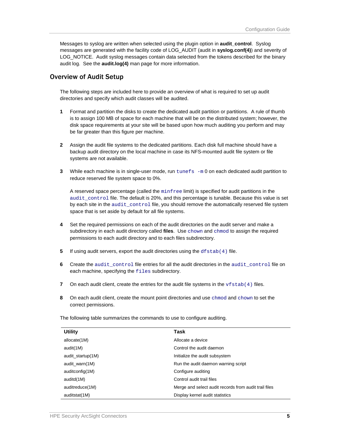Messages to syslog are written when selected using the plugin option in **audit\_control**. Syslog messages are generated with the facility code of LOG\_AUDIT (audit in **syslog.conf(4)**) and severity of LOG NOTICE. Audit syslog messages contain data selected from the tokens described for the binary audit log. See the **audit.log(4)** man page for more information.

#### <span id="page-4-0"></span>Overview of Audit Setup

The following steps are included here to provide an overview of what is required to set up audit directories and specify which audit classes will be audited.

- **1** Format and partition the disks to create the dedicated audit partition or partitions. A rule of thumb is to assign 100 MB of space for each machine that will be on the distributed system; however, the disk space requirements at your site will be based upon how much auditing you perform and may be far greater than this figure per machine.
- **2** Assign the audit file systems to the dedicated partitions. Each disk full machine should have a backup audit directory on the local machine in case its NFS-mounted audit file system or file systems are not available.
- **3** While each machine is in single-user mode, run tunefs -m 0 on each dedicated audit partition to reduce reserved file system space to 0%.

A reserved space percentage (called the minfree limit) is specified for audit partitions in the audit\_control file. The default is 20%, and this percentage is tunable. Because this value is set by each site in the audit\_control file, you should remove the automatically reserved file system space that is set aside by default for all file systems.

- **4** Set the required permissions on each of the audit directories on the audit server and make a subdirectory in each audit directory called **files**. Use chown and chmod to assign the required permissions to each audit directory and to each files subdirectory.
- **5** If using audit servers, export the audit directories using the dfstab(4) file.
- **6** Create the audit\_control file entries for all the audit directories in the audit\_control file on each machine, specifying the files subdirectory.
- **7** On each audit client, create the entries for the audit file systems in the  $v$  f stab(4) files.
- **8** On each audit client, create the mount point directories and use chmod and chown to set the correct permissions.

The following table summarizes the commands to use to configure auditing.

| <b>Utility</b>    | Task                                                  |
|-------------------|-------------------------------------------------------|
| allocate(1M)      | Allocate a device                                     |
| audit(1M)         | Control the audit daemon                              |
| audit_startup(1M) | Initialize the audit subsystem                        |
| audit_warn(1M)    | Run the audit daemon warning script                   |
| auditconfig(1M)   | Configure auditing                                    |
| auditd(1M)        | Control audit trail files                             |
| auditreduce(1M)   | Merge and select audit records from audit trail files |
| auditstat(1M)     | Display kernel audit statistics                       |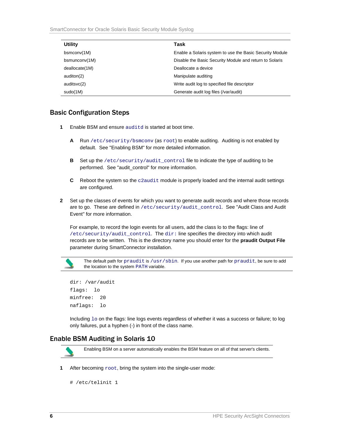| <b>Utility</b> | Task                                                     |
|----------------|----------------------------------------------------------|
| bsmconv(1M)    | Enable a Solaris system to use the Basic Security Module |
| bsmunconv(1M)  | Disable the Basic Security Module and return to Solaris  |
| deallocate(1M) | Deallocate a device                                      |
| auditon(2)     | Manipulate auditing                                      |
| auditsvc(2)    | Write audit log to specified file descriptor             |
| sudo(1M)       | Generate audit log files (/var/audit)                    |

#### <span id="page-5-0"></span>Basic Configuration Steps

- **1** Enable BSM and ensure auditd is started at boot time.
	- **A** Run /etc/security/bsmconv (as root) to enable auditing. Auditing is not enabled by default. See "Enabling BSM" for more detailed information.
	- **B** Set up the /etc/security/audit\_control file to indicate the type of auditing to be performed. See "audit\_control" for more information.
	- **C** Reboot the system so the c2audit module is properly loaded and the internal audit settings are configured.
- **2** Set up the classes of events for which you want to generate audit records and where those records are to go. These are defined in /etc/security/audit\_control. See "Audit Class and Audit Event" for more information.

For example, to record the login events for all users, add the class lo to the flags: line of /etc/security/audit\_control. The dir: line specifies the directory into which audit records are to be written. This is the directory name you should enter for the **praudit Output File** parameter during SmartConnector installation.



The default path for praudit is /usr/sbin. If you use another path for praudit, be sure to add the location to the system PATH variable.

```
dir: /var/audit 
flags: lo 
minfree: 20 
naflags: lo
```
Including  $1\circ$  on the flags: line logs events regardless of whether it was a success or failure; to log only failures, put a hyphen (-) in front of the class name.

## <span id="page-5-1"></span>Enable BSM Auditing in Solaris 10



**1** After becoming  $root$ , bring the system into the single-user mode:

```
# /etc/telinit 1
```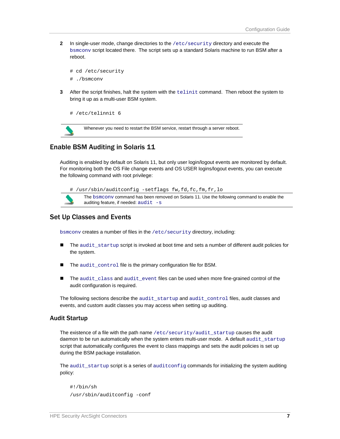**2** In single-user mode, change directories to the /etc/security directory and execute the bsmconv script located there. The script sets up a standard Solaris machine to run BSM after a reboot.

```
# cd /etc/security 
# ./bsmconv
```
**3** After the script finishes, halt the system with the telinit command. Then reboot the system to bring it up as a multi-user BSM system.

```
# /etc/telinnit 6
```


Whenever you need to restart the BSM service, restart through a server reboot.

#### <span id="page-6-0"></span>Enable BSM Auditing in Solaris 11

Auditing is enabled by default on Solaris 11, but only user login/logout events are monitored by default. For monitoring both the OS File change events and OS USER logins/logout events, you can execute the following command with root privilege:



#### <span id="page-6-1"></span>Set Up Classes and Events

bsmconv creates a number of files in the /etc/security directory, including:

- The audit\_startup script is invoked at boot time and sets a number of different audit policies for the system.
- The audit\_control file is the primary configuration file for BSM.
- The audit\_class and audit\_event files can be used when more fine-grained control of the audit configuration is required.

The following sections describe the audit\_startup and audit\_control files, audit classes and events, and custom audit classes you may access when setting up auditing.

#### <span id="page-6-2"></span>Audit Startup

The existence of a file with the path name /etc/security/audit\_startup causes the audit daemon to be run automatically when the system enters multi-user mode. A default audit\_startup script that automatically configures the event to class mappings and sets the audit policies is set up during the BSM package installation.

The audit\_startup script is a series of auditconfig commands for initializing the system auditing policy:

```
#!/bin/sh 
/usr/sbin/auditconfig -conf
```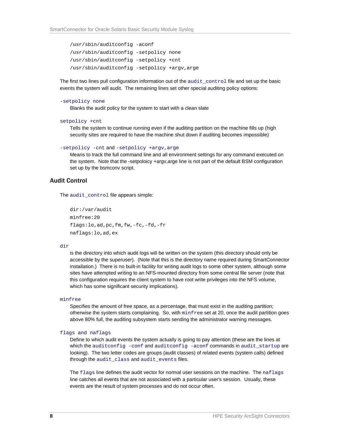```
/usr/sbin/auditconfig -aconf 
/usr/sbin/auditconfig -setpolicy none 
/usr/sbin/auditconfig -setpolicy +cnt 
/usr/sbin/auditconfig -setpolicy +argv,arge
```
The first two lines pull configuration information out of the audit control file and set up the basic events the system will audit. The remaining lines set other special auditing policy options:

#### -setpolicy none

Blanks the audit policy for the system to start with a clean slate

```
setpolicy +cnt
```
Tells the system to continue running even if the auditing partition on the machine fills up (high security sites are required to have the machine shut down if auditing becomes impossible)

```
-setpolicy -cnt and -setpolicy +argv,arge
```
Means to track the full command line and all environment settings for any command executed on the system. Note that the -setpoloicy +argv,arge line is not part of the default BSM configuration set up by the bsmconv script.

#### <span id="page-7-0"></span>Audit Control

The audit control file appears simple:

```
dir:/var/audit 
minfree:20 
flags:lo,ad,pc,fm,fw,-fc,-fd,-fr 
naflags:lo,ad,ex
```
#### dir

is the directory into which audit logs will be written on the system (this directory should only be accessible by the superuser). (Note that this is the directory name required during SmartConnector installation.) There is no built-in facility for writing audit logs to some other system, although some sites have attempted writing to an NFS-mounted directory from some central file server (note that this configuration requires the client system to have root write privileges into the NFS volume, which has some significant security implications).

#### minfree

Specifies the amount of free space, as a percentage, that must exist in the auditing partition; otherwise the system starts complaining. So, with minfree set at 20, once the audit partition goes above 80% full, the auditing subsystem starts sending the administrator warning messages.

#### flags and naflags

Define to which audit events the system actually is going to pay attention (these are the lines at which the auditconfig -conf and auditconfig -aconf commands in audit\_startup are looking). The two letter codes are groups (audit classes) of related events (system calls) defined through the audit\_class and audit\_events files.

The flags line defines the audit vector for normal user sessions on the machine. The naflags line catches all events that are not associated with a particular user's session. Usually, these events are the result of system processes and do not occur often.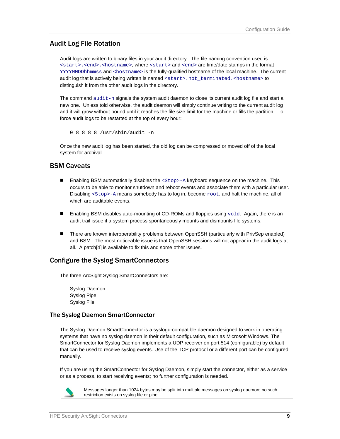#### <span id="page-8-0"></span>Audit Log File Rotation

Audit logs are written to binary files in your audit directory. The file naming convention used is <start>.<end>.<hostname>, where <start> and <end> are time/date stamps in the format YYYYMMDDhhmmss and <hostname> is the fully-qualified hostname of the local machine. The current audit log that is actively being written is named <start>.not\_terminated.<hostname> to distinguish it from the other audit logs in the directory.

The command  $audit-n$  signals the system audit daemon to close its current audit log file and start a new one. Unless told otherwise, the audit daemon will simply continue writing to the current audit log and it will grow without bound until it reaches the file size limit for the machine or fills the partition. To force audit logs to be restarted at the top of every hour:

0 8 8 8 8 /usr/sbin/audit -n

Once the new audit log has been started, the old log can be compressed or moved off of the local system for archival.

#### <span id="page-8-1"></span>BSM Caveats

- **Enabling BSM automatically disables the**  $<$  **Stop>-A keyboard sequence on the machine. This** occurs to be able to monitor shutdown and reboot events and associate them with a particular user. Disabling <Stop>-A means somebody has to log in, become root, and halt the machine, all of which are auditable events.
- **Enabling BSM disables auto-mounting of CD-ROMs and floppies using**  $\text{vold}$ **. Again, there is an** audit trail issue if a system process spontaneously mounts and dismounts file systems.
- There are known interoperability problems between OpenSSH (particularly with PrivSep enabled) and BSM. The most noticeable issue is that OpenSSH sessions will not appear in the audit logs at all. A patch[4] is available to fix this and some other issues.

#### <span id="page-8-2"></span>Configure the Syslog SmartConnectors

The three ArcSight Syslog SmartConnectors are:

Syslog Daemon Syslog Pipe Syslog File

#### <span id="page-8-3"></span>The Syslog Daemon SmartConnector

The Syslog Daemon SmartConnector is a syslogd-compatible daemon designed to work in operating systems that have no syslog daemon in their default configuration, such as Microsoft Windows. The SmartConnector for Syslog Daemon implements a UDP receiver on port 514 (configurable) by default that can be used to receive syslog events. Use of the TCP protocol or a different port can be configured manually.

If you are using the SmartConnector for Syslog Daemon, simply start the connector, either as a service or as a process, to start receiving events; no further configuration is needed.



Messages longer than 1024 bytes may be split into multiple messages on syslog daemon; no such restriction exists on syslog file or pipe.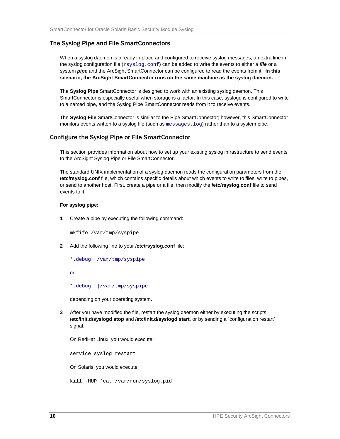#### <span id="page-9-0"></span>The Syslog Pipe and File SmartConnectors

When a syslog daemon is already in place and configured to receive syslog messages, an extra line in the syslog configuration file (xsyslog.conf) can be added to write the events to either a *file* or a system *pipe* and the ArcSight SmartConnector can be configured to read the events from it. **In this scenario, the ArcSight SmartConnector runs on the same machine as the syslog daemon.**

The **Syslog Pipe** SmartConnector is designed to work with an existing syslog daemon. This SmartConnector is especially useful when storage is a factor. In this case, syslogd is configured to write to a named pipe, and the Syslog Pipe SmartConnector reads from it to receive events.

The **Syslog File** SmartConnector is similar to the Pipe SmartConnector; however, this SmartConnector monitors events written to a syslog file (such as messages. log) rather than to a system pipe.

#### <span id="page-9-1"></span>Configure the Syslog Pipe or File SmartConnector

This section provides information about how to set up your existing syslog infrastructure to send events to the ArcSight Syslog Pipe or File SmartConnector.

The standard UNIX implementation of a syslog daemon reads the configuration parameters from the **/etc/rsyslog.conf** file, which contains specific details about which events to write to files, write to pipes, or send to another host. First, create a pipe or a file; then modify the **/etc/rsyslog.conf** file to send events to it.

#### **For syslog pipe:**

**1** Create a pipe by executing the following command:

mkfifo /var/tmp/syspipe

- **2** Add the following line to your **/etc/rsyslog.conf** file:
	- \*.debug /var/tmp/syspipe

or

\*.debug |/var/tmp/syspipe

depending on your operating system.

**3** After you have modified the file, restart the syslog daemon either by executing the scripts **/etc/init.d/syslogd stop** and **/etc/init.d/syslogd start**, or by sending a `configuration restart` signal.

On RedHat Linux, you would execute:

service syslog restart

On Solaris, you would execute:

kill -HUP `cat /var/run/syslog.pid´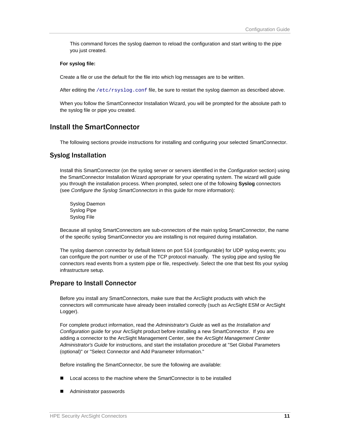This command forces the syslog daemon to reload the configuration and start writing to the pipe you just created.

#### **For syslog file:**

Create a file or use the default for the file into which log messages are to be written.

After editing the /etc/rsyslog.conf file, be sure to restart the syslog daemon as described above.

When you follow the SmartConnector Installation Wizard, you will be prompted for the absolute path to the syslog file or pipe you created.

## <span id="page-10-0"></span>Install the SmartConnector

The following sections provide instructions for installing and configuring your selected SmartConnector.

#### <span id="page-10-1"></span>Syslog Installation

Install this SmartConnector (on the syslog server or servers identified in the *Configuration* section) using the SmartConnector Installation Wizard appropriate for your operating system. The wizard will guide you through the installation process. When prompted, select one of the following **Syslog** connectors (see *Configure the Syslog SmartConnectors* in this guide for more information):

Syslog Daemon Syslog Pipe Syslog File

Because all syslog SmartConnectors are sub-connectors of the main syslog SmartConnector, the name of the specific syslog SmartConnector you are installing is not required during installation.

The syslog daemon connector by default listens on port 514 (configurable) for UDP syslog events; you can configure the port number or use of the TCP protocol manually. The syslog pipe and syslog file connectors read events from a system pipe or file, respectively. Select the one that best fits your syslog infrastructure setup.

#### <span id="page-10-2"></span>Prepare to Install Connector

Before you install any SmartConnectors, make sure that the ArcSight products with which the connectors will communicate have already been installed correctly (such as ArcSight ESM or ArcSight Logger).

For complete product information, read the *Administrator's Guide* as well as the *Installation and Configuration* guide for your ArcSight product before installing a new SmartConnector. If you are adding a connector to the ArcSight Management Center, see the *ArcSight Management Center Administrator's Guide* for instructions, and start the installation procedure at "Set Global Parameters (optional)" or "Select Connector and Add Parameter Information."

Before installing the SmartConnector, be sure the following are available:

- Local access to the machine where the SmartConnector is to be installed
- Administrator passwords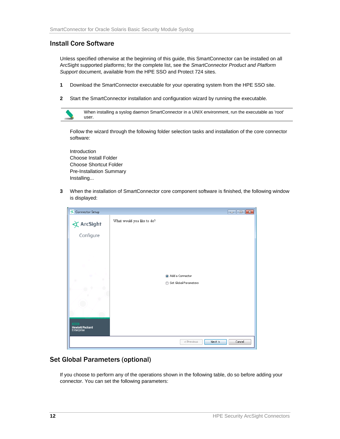## <span id="page-11-0"></span>Install Core Software

Unless specified otherwise at the beginning of this guide, this SmartConnector can be installed on all ArcSight supported platforms; for the complete list, see the *SmartConnector Product and Platform Support* document, available from the HPE SSO and Protect 724 sites.

- **1** Download the SmartConnector executable for your operating system from the HPE SSO site.
- **2** Start the SmartConnector installation and configuration wizard by running the executable.



Follow the wizard through the following folder selection tasks and installation of the core connector software:

Introduction Choose Install Folder Choose Shortcut Folder Pre-Installation Summary Installing...

**3** When the installation of SmartConnector core component software is finished, the following window is displayed:

| <b>EX</b> Connector Setup            | $\begin{array}{c c c c c c} \hline \multicolumn{3}{c }{\multicolumn{3}{c }{\multicolumn{3}{c }{\multicolumn{3}{c }{\multicolumn{3}{c }{\multicolumn{3}{c }{\multicolumn{3}{c }{\multicolumn{3}{c}}}}}} \hline \multicolumn{3}{c }{\multicolumn{3}{c }{\multicolumn{3}{c }{\multicolumn{3}{c }{\multicolumn{3}{c }{\multicolumn{3}{c }{\multicolumn{3}{c }{\multicolumn{3}{c }{\multicolumn{3}{c }{\multicolumn{3}{c }{\multicolumn{3}{c }{\multicolumn{3$ |
|--------------------------------------|-----------------------------------------------------------------------------------------------------------------------------------------------------------------------------------------------------------------------------------------------------------------------------------------------------------------------------------------------------------------------------------------------------------------------------------------------------------|
| $\bigstar$ ArcSight                  | What would you like to do?                                                                                                                                                                                                                                                                                                                                                                                                                                |
| Configure                            |                                                                                                                                                                                                                                                                                                                                                                                                                                                           |
|                                      |                                                                                                                                                                                                                                                                                                                                                                                                                                                           |
|                                      | Add a Connector                                                                                                                                                                                                                                                                                                                                                                                                                                           |
| ۰                                    | Set Global Parameters<br>⋒                                                                                                                                                                                                                                                                                                                                                                                                                                |
|                                      |                                                                                                                                                                                                                                                                                                                                                                                                                                                           |
|                                      |                                                                                                                                                                                                                                                                                                                                                                                                                                                           |
| <b>Hewlett Packard</b><br>Enterprise |                                                                                                                                                                                                                                                                                                                                                                                                                                                           |
|                                      | Next<br>Cancel<br>< Previous                                                                                                                                                                                                                                                                                                                                                                                                                              |

## <span id="page-11-1"></span>Set Global Parameters (optional)

If you choose to perform any of the operations shown in the following table, do so before adding your connector. You can set the following parameters: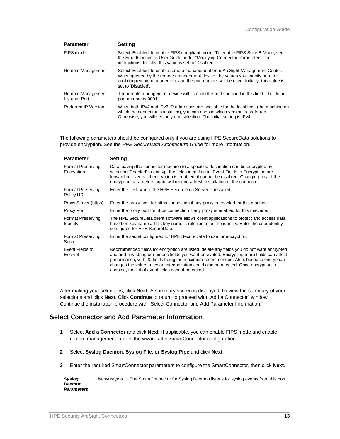| <b>Parameter</b>                          | Settina                                                                                                                                                                                                                                                                       |
|-------------------------------------------|-------------------------------------------------------------------------------------------------------------------------------------------------------------------------------------------------------------------------------------------------------------------------------|
| FIPS mode                                 | Select 'Enabled' to enable FIPS compliant mode. To enable FIPS Suite B Mode, see<br>the SmartConnector User Guide under "Modifying Connector Parameters" for<br>instructions. Initially, this value is set to 'Disabled'.                                                     |
| Remote Management                         | Select 'Enabled' to enable remote management from ArcSight Management Center.<br>When queried by the remote management device, the values you specify here for<br>enabling remote management and the port number will be used. Initially, this value is<br>set to 'Disabled'. |
| Remote Management<br><b>Listener Port</b> | The remote management device will listen to the port specified in this field. The default<br>port number is 9001.                                                                                                                                                             |
| Preferred IP Version                      | When both IPv4 and IPv6 IP addresses are available for the local host (the machine on<br>which the connector is installed), you can choose which version is preferred.<br>Otherwise, you will see only one selection. The initial setting is IPv4.                            |

The following parameters should be configured only if you are using HPE SecureData solutions to provide encryption. See the *HPE SecureData Architecture Guide* for more information.

| <b>Parameter</b>                       | <b>Setting</b>                                                                                                                                                                                                                                                                                                                                                                                                                 |
|----------------------------------------|--------------------------------------------------------------------------------------------------------------------------------------------------------------------------------------------------------------------------------------------------------------------------------------------------------------------------------------------------------------------------------------------------------------------------------|
| <b>Format Preserving</b><br>Encryption | Data leaving the connector machine to a specified destination can be encrypted by<br>selecting 'Enabled' to encrypt the fields identified in 'Event Fields to Encrypt' before<br>forwarding events. If encryption is enabled, it cannot be disabled. Changing any of the<br>encryption parameters again will require a fresh installation of the connector.                                                                    |
| <b>Format Preserving</b><br>Policy URL | Enter the URL where the HPE SecureData Server is installed.                                                                                                                                                                                                                                                                                                                                                                    |
| Proxy Server (https)                   | Enter the proxy host for https connection if any proxy is enabled for this machine.                                                                                                                                                                                                                                                                                                                                            |
| Proxy Port                             | Enter the proxy port for https connection if any proxy is enabled for this machine.                                                                                                                                                                                                                                                                                                                                            |
| <b>Format Preserving</b><br>Identity   | The HPE SecureData client software allows client applications to protect and access data<br>based on key names. This key name is referred to as the identity. Enter the user identity<br>configured for HPE SecureData.                                                                                                                                                                                                        |
| <b>Format Preserving</b><br>Secret     | Enter the secret configured for HPE SecureData to use for encryption.                                                                                                                                                                                                                                                                                                                                                          |
| Event Fields to<br>Encrypt             | Recommended fields for encryption are listed; delete any fields you do not want encrypted<br>and add any string or numeric fields you want encrypted. Encrypting more fields can affect<br>performance, with 20 fields being the maximum recommended. Also, because encryption<br>changes the value, rules or categorization could also be affected. Once encryption is<br>enabled, the list of event fields cannot be edited. |

After making your selections, click **Next**. A summary screen is displayed. Review the summary of your selections and click **Next**. Click **Continue** to return to proceed with "Add a Connector" window. Continue the installation procedure with "Select Connector and Add Parameter Information."

#### <span id="page-12-0"></span>Select Connector and Add Parameter Information

- **1** Select **Add a Connector** and click **Next**. If applicable, you can enable FIPS mode and enable remote management later in the wizard after SmartConnector configuration.
- **2** Select **Syslog Daemon, Syslog File, or Syslog Pipe** and click **Next**.
- **3** Enter the required SmartConnector parameters to configure the SmartConnector, then click **Next**.

| Syslog            | Network port | The SmartConnector for Syslog Daemon listens for syslog events from this port. |
|-------------------|--------------|--------------------------------------------------------------------------------|
| <b>Daemon</b>     |              |                                                                                |
| <b>Parameters</b> |              |                                                                                |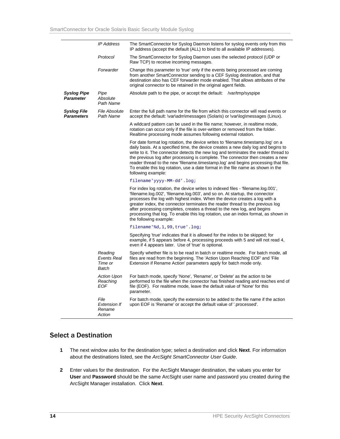|                                         | <b>IP Address</b>                               | The SmartConnector for Syslog Daemon listens for syslog events only from this<br>IP address (accept the default (ALL) to bind to all available IP addresses).                                                                                                                                                                                                                                                                                                                                                                                  |
|-----------------------------------------|-------------------------------------------------|------------------------------------------------------------------------------------------------------------------------------------------------------------------------------------------------------------------------------------------------------------------------------------------------------------------------------------------------------------------------------------------------------------------------------------------------------------------------------------------------------------------------------------------------|
|                                         | Protocol                                        | The SmartConnector for Syslog Daemon uses the selected protocol (UDP or<br>Raw TCP) to receive incoming messages.                                                                                                                                                                                                                                                                                                                                                                                                                              |
|                                         | Forwarder                                       | Change this parameter to 'true' only if the events being processed are coming<br>from another SmartConnector sending to a CEF Syslog destination, and that<br>destination also has CEF forwarder mode enabled. That allows attributes of the<br>original connector to be retained in the original agent fields.                                                                                                                                                                                                                                |
| <b>Syslog Pipe</b><br><b>Parameter</b>  | Pipe<br>Absolute<br>Path Name                   | Absolute path to the pipe, or accept the default: /var/tmp/syspipe                                                                                                                                                                                                                                                                                                                                                                                                                                                                             |
| <b>Syslog File</b><br><b>Parameters</b> | <b>File Absolute</b><br>Path Name               | Enter the full path name for the file from which this connector will read events or<br>accept the default: \var\adm\messages (Solaris) or \var\log\messages (Linux).                                                                                                                                                                                                                                                                                                                                                                           |
|                                         |                                                 | A wildcard pattern can be used in the file name; however, in realtime mode,<br>rotation can occur only if the file is over-written or removed from the folder.<br>Realtime processing mode assumes following external rotation.                                                                                                                                                                                                                                                                                                                |
|                                         |                                                 | For date format log rotation, the device writes to 'filename.timestamp.log' on a<br>daily basis. At a specified time, the device creates a new daily log and begins to<br>write to it. The connector detects the new log and terminates the reader thread to<br>the previous log after processing is complete. The connector then creates a new<br>reader thread to the new 'filename.timestamp.log' and begins processing that file.<br>To enable this log rotation, use a date format in the file name as shown in the<br>following example: |
|                                         |                                                 | filename'yyyy-MM-dd'.log;                                                                                                                                                                                                                                                                                                                                                                                                                                                                                                                      |
|                                         |                                                 | For index log rotation, the device writes to indexed files - 'filename.log.001',<br>'filename.log.002', 'filename.log.003', and so on. At startup, the connector<br>processes the log with highest index. When the device creates a log with a<br>greater index, the connector terminates the reader thread to the previous log<br>after processing completes, creates a thread to the new log, and begins<br>processing that log. To enable this log rotation, use an index format, as shown in<br>the following example:                     |
|                                         |                                                 | filename'%d,1,99,true'.log;                                                                                                                                                                                                                                                                                                                                                                                                                                                                                                                    |
|                                         |                                                 | Specifying 'true' indicates that it is allowed for the index to be skipped; for<br>example, if 5 appears before 4, processing proceeds with 5 and will not read 4,<br>even if 4 appears later. Use of 'true' is optional.                                                                                                                                                                                                                                                                                                                      |
|                                         | Reading<br>Events Real<br>Time or<br>Batch      | Specify whether file is to be read in batch or realtime mode. For batch mode, all<br>files are read from the beginning. The 'Action Upon Reaching EOF' and 'File<br>Extension if Rename Action' parameters apply for batch mode only.                                                                                                                                                                                                                                                                                                          |
|                                         | Action Upon<br>Reaching<br><b>EOF</b>           | For batch mode, specify 'None', 'Rename', or 'Delete' as the action to be<br>performed to the file when the connector has finished reading and reaches end of<br>file (EOF). For realtime mode, leave the default value of 'None' for this<br>parameter.                                                                                                                                                                                                                                                                                       |
|                                         | File<br><b>Extension If</b><br>Rename<br>Action | For batch mode, specify the extension to be added to the file name if the action<br>upon EOF is 'Rename' or accept the default value of '.processed'.                                                                                                                                                                                                                                                                                                                                                                                          |

#### <span id="page-13-0"></span>Select a Destination

- **1** The next window asks for the destination type; select a destination and click **Next**. For information about the destinations listed, see the *ArcSight SmartConnector User Guide*.
- **2** Enter values for the destination. For the ArcSight Manager destination, the values you enter for **User** and **Password** should be the same ArcSight user name and password you created during the ArcSight Manager installation. Click **Next**.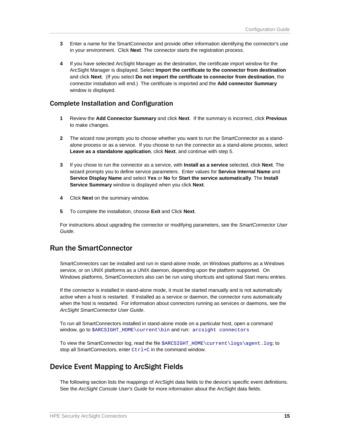- **3** Enter a name for the SmartConnector and provide other information identifying the connector's use in your environment. Click **Next**. The connector starts the registration process.
- **4** If you have selected ArcSight Manager as the destination, the certificate import window for the ArcSight Manager is displayed. Select **Import the certificate to the connector from destination** and click **Next**. (If you select **Do not import the certificate to connector from destination**, the connector installation will end.) The certificate is imported and the **Add connector Summary** window is displayed.

#### <span id="page-14-0"></span>Complete Installation and Configuration

- **1** Review the **Add Connector Summary** and click **Next**. If the summary is incorrect, click **Previous** to make changes.
- **2** The wizard now prompts you to choose whether you want to run the SmartConnector as a standalone process or as a service. If you choose to run the connector as a stand-alone process, select **Leave as a standalone application**, click **Next**, and continue with step 5.
- **3** If you chose to run the connector as a service, with **Install as a service** selected, click **Next**. The wizard prompts you to define service parameters. Enter values for **Service Internal Name** and **Service Display Name** and select **Yes** or **No** for **Start the service automatically**. The **Install Service Summary** window is displayed when you click **Next**.
- **4** Click **Next** on the summary window.
- **5** To complete the installation, choose **Exit** and Click **Next**.

For instructions about upgrading the connector or modifying parameters, see the *SmartConnector User Guide*.

## <span id="page-14-1"></span>Run the SmartConnector

SmartConnectors can be installed and run in stand-alone mode, on Windows platforms as a Windows service, or on UNIX platforms as a UNIX daemon, depending upon the platform supported. On Windows platforms, SmartConnectors also can be run using shortcuts and optional Start menu entries.

If the connector is installed in stand-alone mode, it must be started manually and is not automatically active when a host is restarted. If installed as a service or daemon, the connector runs automatically when the host is restarted. For information about connectors running as services or daemons, see the *ArcSight SmartConnector User Guide*.

To run all SmartConnectors installed in stand-alone mode on a particular host, open a command window, go to \$ARCSIGHT\_HOME\current\bin and run: arcsight connectors

To view the SmartConnector log, read the file \$ARCSIGHT\_HOME\current\logs\agent.log; to stop all SmartConnectors, enter  $Ctr1+C$  in the command window.

## <span id="page-14-2"></span>Device Event Mapping to ArcSight Fields

The following section lists the mappings of ArcSight data fields to the device's specific event definitions. See the *ArcSight Console User's Guide* for more information about the ArcSight data fields.